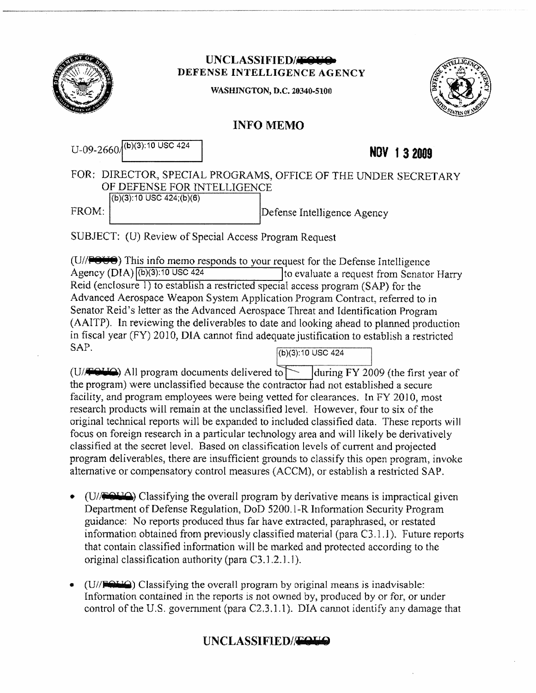

## UNCLASSIFIED/<del>JON</del> DEFENSE INTELLIGENCE AGENCY

WASHINGTON, D.C. 20340-5100



## INFO MEMO

| $U$ -09-2660 $/(b)(3)$ :10 USC 424     | NOV 13 2009                                                    |
|----------------------------------------|----------------------------------------------------------------|
| OF DEFENSE FOR INTELLIGENCE            | FOR: DIRECTOR, SPECIAL PROGRAMS, OFFICE OF THE UNDER SECRETARY |
| $(b)(3):10$ USC 424; $(b)(6)$<br>FROM: | Defense Intelligence Agency                                    |
|                                        |                                                                |

SUBJECT: (U) Review of Special Access Program Request

 $(U/$   $\blacktriangleright$   $\blacktriangleright$  This info memo responds to your request for the Defense Intelligence (U/FebCe) This into memo responds to your request for the Defense Intelligence<br>Agency (DIA)<sup>[b]</sup>(b)(3):10 USC 424 110 110 evaluate a request from Senator Harry Agency (DIA)  $\overline{(\text{b})(3):10 \text{ USC } 424}$  to evaluate a request from Senator Harry Reid (enclosure 1) to establish a restricted special access program (SAP) for the Advanced Aerospace Weapon System Application Program Contract, referred to in Senator Reid's letter as the Advanced Aerospace Threat and Identification Program (AAITP). In reviewing the deliverables to date and looking ahead to planned production in fiscal year (FY) 2010, DIA cannot find adequate justification to establish a restricted  $SAP.$  (b)(3):10 USC 424

(U/ $\blacktriangleright$  All program documents delivered to  $\blacktriangleright$  [during FY 2009 (the first year of the program) were unclassified because the contractor had not established a secure facility, and program employees were being vetted for clearances. In FY 2010, most research products will remain at the unclassified level. However, four to sixof the original technical reports will be expanded to included classified data. These reports will focus on foreign research in a particular technology area and will likely be derivatively classified at the secret level. Based on classification levelsof current and projected program deliverables, there are insufficient grounds to classify this open program, invoke altemative or compensatory control measures (ACCM), or establish a restricted SAP.

- $(U/\sqrt{U})$  Classifying the overall program by derivative means is impractical given Department of Defense Regulation, DoD 5200.1-R Information Security Program guidance: No reports produced thus far have extracted, paraphrased, or restated information obtained from previously classified material (para C3.1.1). Future reports that contain classified information will be marked and protected according to the original classification authority (para C3.1.2.1.1).
- $(U/FAH)$  Classifying the overall program by original means is inadvisable: Information contained in the reports is not owned by, produced by or for, or under control of the U.S. government (para  $C<sub>2</sub>,3,1.1$ ). DIA cannot identify any damage that

## UNCLASSIFIED//<del>FOUS</del>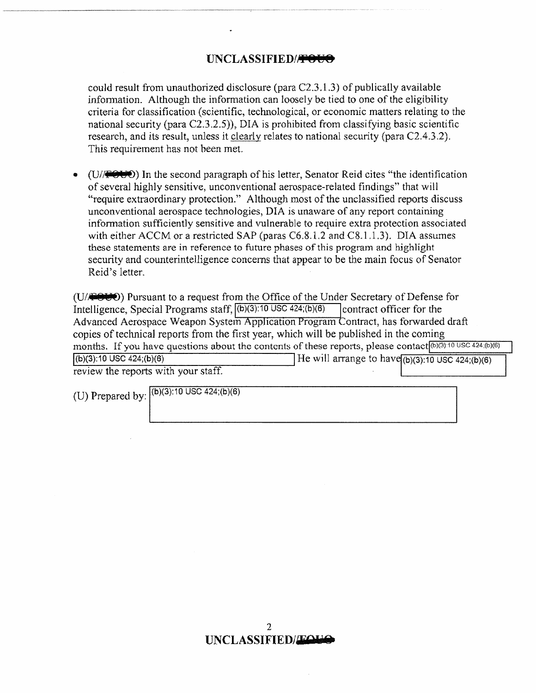## UNCLASSIFIED/<del>/2006</del>

could result from unauthorized disclosure (para C2.3.1.3) of publically available information. Although the information can looselybe tied to one of the eligibility criteria for classification (scientific, technological, or economic matters relating to the national security (para  $C(2.3.2.5)$ ), DIA is prohibited from classifying basic scientific tesearch, and its result, unless it clearly relates to national security (para C2.4.3.2). This requirement has not been met.

(U/ $\blacktriangleright$  (U/ $\blacktriangleright$ ) In the second paragraph of his letter, Senator Reid cites "the identification of several highly sensitive, unconventional aerospace-related findings" that will "require extraordinary protection." Although mostofthe unclassified reports discuss unconventional aerospace technologies, DIA is unaware of any report containing information sufficiently sensitive and vulnerable to require extra protection associated with either ACCM or a restricted SAP (paras  $C6.8.1.2$  and  $C8.1.1.3$ ). DIA assumes these statements are in reference to future phases of this program and highlight security and counterintelligence concerns that appear to be the main focus of Senator Reid's letter.

 $(U/\sqrt{2\pi U})$  Pursuant to a request from the Office of the Under Secretary of Defense for Intelligence, Special Programs staff,  $\overline{(b)(3):10 \cup SC\ 424;(b)(6)}$  contract officer for the Advanced Aerospace Weapon System Application Program Contract, has forwarded draft copies of technical reports from the first year, which will be published in the coming months. If you have questions about the contents of these reports, please contact  $[6]$   $(3)$ :10 USC 424; $(6)$  $(6)$ He will arrange to have  $(b)(3):10$  USC  $424$ ;  $(b)(6)$  $(b)(3):10$  USC  $424(b)(6)$ <br>review the reports with your staff.

(U) Prepared by:  $(6)(3):10$  USC 424;(b)(6)